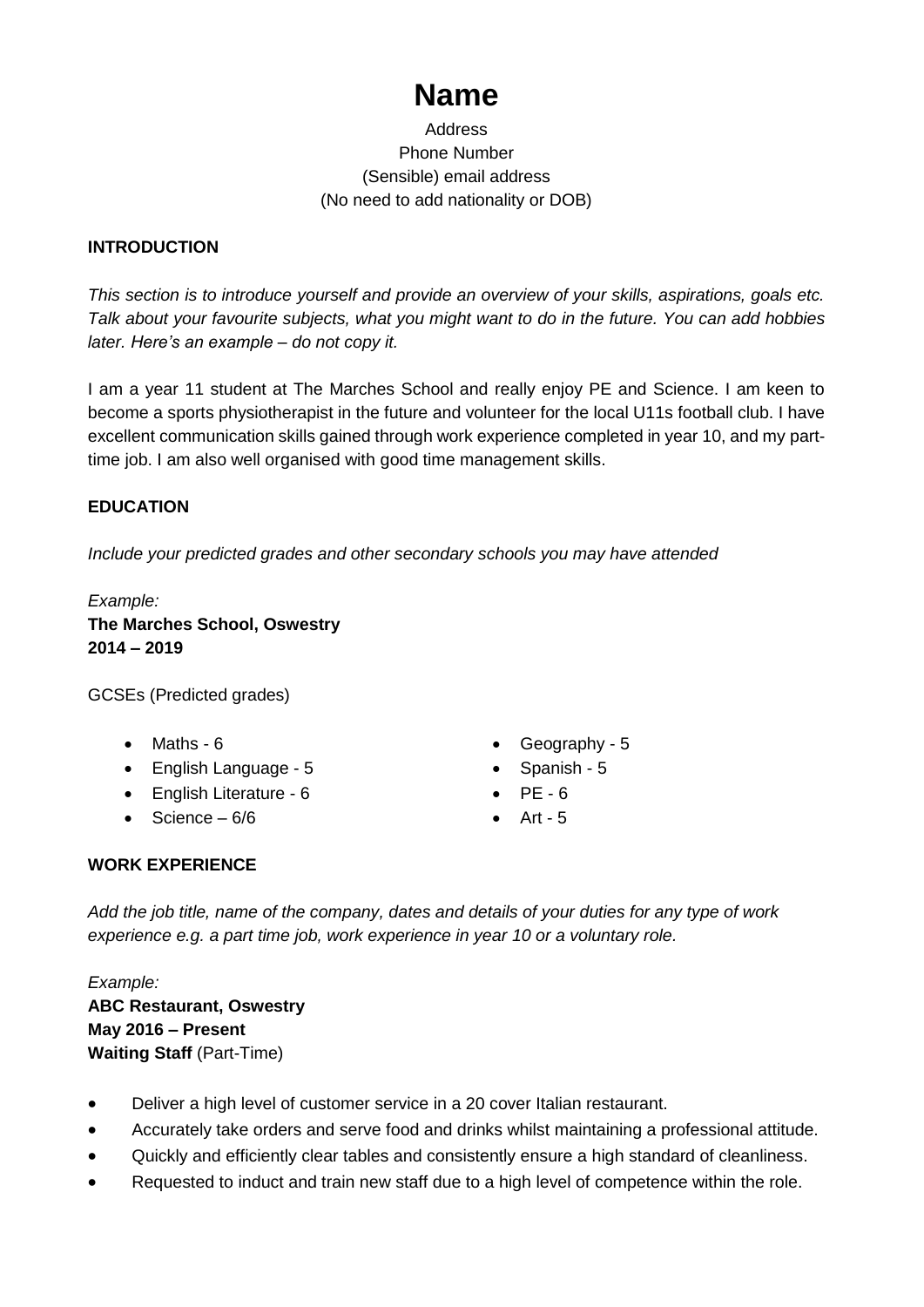# **Name**

# Address Phone Number (Sensible) email address (No need to add nationality or DOB)

# **INTRODUCTION**

*This section is to introduce yourself and provide an overview of your skills, aspirations, goals etc. Talk about your favourite subjects, what you might want to do in the future. You can add hobbies later. Here's an example – do not copy it.*

I am a year 11 student at The Marches School and really enjoy PE and Science. I am keen to become a sports physiotherapist in the future and volunteer for the local U11s football club. I have excellent communication skills gained through work experience completed in year 10, and my parttime job. I am also well organised with good time management skills.

# **EDUCATION**

*Include your predicted grades and other secondary schools you may have attended*

*Example:* **The Marches School, Oswestry 2014 – 2019**

GCSEs (Predicted grades)

- Maths 6
- English Language 5
- English Literature 6
- $\bullet$  Science 6/6
- Geography 5
- Spanish 5
- $\bullet$  PF 6
- $\bullet$  Art 5

# **WORK EXPERIENCE**

*Add the job title, name of the company, dates and details of your duties for any type of work experience e.g. a part time job, work experience in year 10 or a voluntary role.*

*Example:* **ABC Restaurant, Oswestry May 2016 – Present Waiting Staff** (Part-Time)

- Deliver a high level of customer service in a 20 cover Italian restaurant.
- Accurately take orders and serve food and drinks whilst maintaining a professional attitude.
- Quickly and efficiently clear tables and consistently ensure a high standard of cleanliness.
- Requested to induct and train new staff due to a high level of competence within the role.